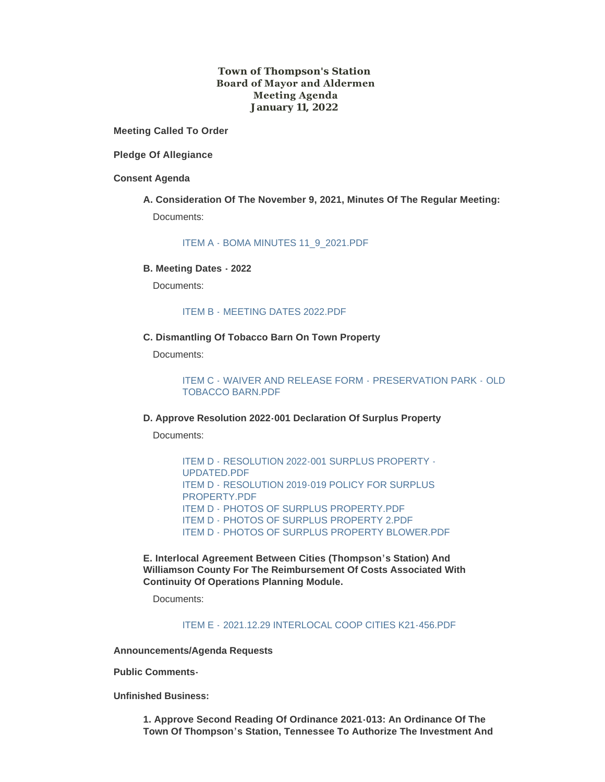# **Town of Thompson's Station Board of Mayor and Aldermen Meeting Agenda January 11, 2022**

**Meeting Called To Order**

**Pledge Of Allegiance**

# **Consent Agenda**

# **A. Consideration Of The November 9, 2021, Minutes Of The Regular Meeting:** Documents:

[ITEM A - BOMA MINUTES 11\\_9\\_2021.PDF](https://www.thompsons-station.com/AgendaCenter/ViewFile/Item/3559?fileID=15098)

#### **B. Meeting Dates - 2022**

Documents:

# ITEM B - [MEETING DATES 2022.PDF](https://www.thompsons-station.com/AgendaCenter/ViewFile/Item/3560?fileID=15099)

# **C. Dismantling Of Tobacco Barn On Town Property**

Documents:

ITEM C - [WAIVER AND RELEASE FORM -](https://www.thompsons-station.com/AgendaCenter/ViewFile/Item/3561?fileID=15100) PRESERVATION PARK - OLD TOBACCO BARN.PDF

# **D. Approve Resolution 2022-001 Declaration Of Surplus Property**

Documents:

ITEM D - [RESOLUTION 2022-001 SURPLUS PROPERTY -](https://www.thompsons-station.com/AgendaCenter/ViewFile/Item/3562?fileID=15105) UPDATED.PDF ITEM D - [RESOLUTION 2019-019 POLICY FOR SURPLUS](https://www.thompsons-station.com/AgendaCenter/ViewFile/Item/3562?fileID=15104)  PROPERTY.PDF ITEM D - [PHOTOS OF SURPLUS PROPERTY.PDF](https://www.thompsons-station.com/AgendaCenter/ViewFile/Item/3562?fileID=15135) ITEM D - [PHOTOS OF SURPLUS PROPERTY 2.PDF](https://www.thompsons-station.com/AgendaCenter/ViewFile/Item/3562?fileID=15136) ITEM D - [PHOTOS OF SURPLUS PROPERTY BLOWER.PDF](https://www.thompsons-station.com/AgendaCenter/ViewFile/Item/3562?fileID=15137)

**E. Interlocal Agreement Between Cities (Thompson's Station) And Williamson County For The Reimbursement Of Costs Associated With Continuity Of Operations Planning Module.**

Documents:

ITEM E - [2021.12.29 INTERLOCAL COOP CITIES K21-456.PDF](https://www.thompsons-station.com/AgendaCenter/ViewFile/Item/3586?fileID=15138)

**Announcements/Agenda Requests**

**Public Comments-**

**Unfinished Business:**

**1. Approve Second Reading Of Ordinance 2021-013: An Ordinance Of The Town Of Thompson's Station, Tennessee To Authorize The Investment And**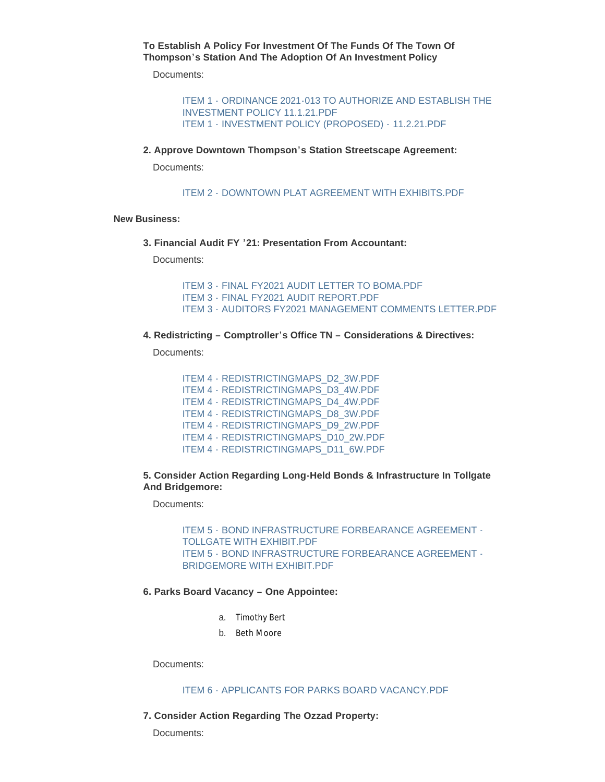**To Establish A Policy For Investment Of The Funds Of The Town Of Thompson's Station And The Adoption Of An Investment Policy**

Documents:

ITEM 1 - [ORDINANCE 2021-013 TO AUTHORIZE AND ESTABLISH THE](https://www.thompsons-station.com/AgendaCenter/ViewFile/Item/3563?fileID=15106)  INVESTMENT POLICY 11.1.21.PDF ITEM 1 - [INVESTMENT POLICY \(PROPOSED\) -](https://www.thompsons-station.com/AgendaCenter/ViewFile/Item/3563?fileID=15107) 11.2.21.PDF

**2. Approve Downtown Thompson's Station Streetscape Agreement:**

Documents:

ITEM 2 - [DOWNTOWN PLAT AGREEMENT WITH EXHIBITS.PDF](https://www.thompsons-station.com/AgendaCenter/ViewFile/Item/3564?fileID=15140)

#### **New Business:**

**3. Financial Audit FY '21: Presentation From Accountant:**

Documents:

ITEM 3 - [FINAL FY2021 AUDIT LETTER TO BOMA.PDF](https://www.thompsons-station.com/AgendaCenter/ViewFile/Item/3565?fileID=15109) ITEM 3 - [FINAL FY2021 AUDIT REPORT.PDF](https://www.thompsons-station.com/AgendaCenter/ViewFile/Item/3565?fileID=15108) ITEM 3 - [AUDITORS FY2021 MANAGEMENT COMMENTS LETTER.PDF](https://www.thompsons-station.com/AgendaCenter/ViewFile/Item/3565?fileID=15139)

**4. Redistricting – Comptroller's Office TN – Considerations & Directives:**

Documents:

ITEM 4 - [REDISTRICTINGMAPS\\_D2\\_3W.PDF](https://www.thompsons-station.com/AgendaCenter/ViewFile/Item/3566?fileID=15110) ITEM 4 - [REDISTRICTINGMAPS\\_D3\\_4W.PDF](https://www.thompsons-station.com/AgendaCenter/ViewFile/Item/3566?fileID=15111) ITEM 4 - [REDISTRICTINGMAPS\\_D4\\_4W.PDF](https://www.thompsons-station.com/AgendaCenter/ViewFile/Item/3566?fileID=15112) ITEM 4 - [REDISTRICTINGMAPS\\_D8\\_3W.PDF](https://www.thompsons-station.com/AgendaCenter/ViewFile/Item/3566?fileID=15113) ITEM 4 - [REDISTRICTINGMAPS\\_D9\\_2W.PDF](https://www.thompsons-station.com/AgendaCenter/ViewFile/Item/3566?fileID=15114) ITEM 4 - [REDISTRICTINGMAPS\\_D10\\_2W.PDF](https://www.thompsons-station.com/AgendaCenter/ViewFile/Item/3566?fileID=15115) ITEM 4 - [REDISTRICTINGMAPS\\_D11\\_6W.PDF](https://www.thompsons-station.com/AgendaCenter/ViewFile/Item/3566?fileID=15116)

**5. Consider Action Regarding Long-Held Bonds & Infrastructure In Tollgate And Bridgemore:**

Documents:

ITEM 5 - [BOND INFRASTRUCTURE FORBEARANCE AGREEMENT -](https://www.thompsons-station.com/AgendaCenter/ViewFile/Item/3567?fileID=15142) TOLLGATE WITH EXHIBIT.PDF ITEM 5 - [BOND INFRASTRUCTURE FORBEARANCE AGREEMENT -](https://www.thompsons-station.com/AgendaCenter/ViewFile/Item/3567?fileID=15141) BRIDGEMORE WITH EXHIBIT.PDF

# **6. Parks Board Vacancy – One Appointee:**

- a. Timothy Bert
- b. Beth Moore

Documents:

# [ITEM 6 - APPLICANTS FOR PARKS BOARD VACANCY.PDF](https://www.thompsons-station.com/AgendaCenter/ViewFile/Item/3568?fileID=15117)

**7. Consider Action Regarding The Ozzad Property:**

Documents: